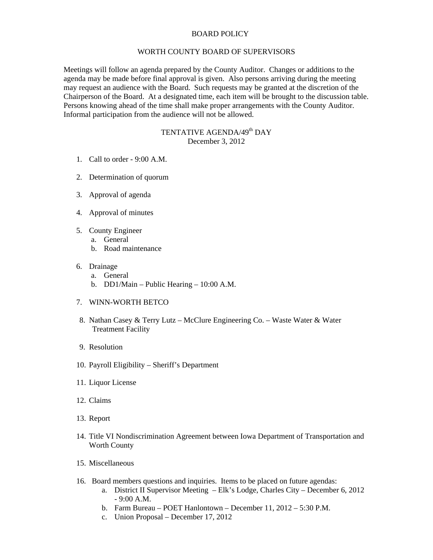## BOARD POLICY

## WORTH COUNTY BOARD OF SUPERVISORS

Meetings will follow an agenda prepared by the County Auditor. Changes or additions to the agenda may be made before final approval is given. Also persons arriving during the meeting may request an audience with the Board. Such requests may be granted at the discretion of the Chairperson of the Board. At a designated time, each item will be brought to the discussion table. Persons knowing ahead of the time shall make proper arrangements with the County Auditor. Informal participation from the audience will not be allowed.

## TENTATIVE AGENDA/49<sup>th</sup> DAY December 3, 2012

- 1. Call to order 9:00 A.M.
- 2. Determination of quorum
- 3. Approval of agenda
- 4. Approval of minutes
- 5. County Engineer
	- a. General
	- b. Road maintenance
- 6. Drainage
	- a. General
	- b. DD1/Main Public Hearing 10:00 A.M.
- 7. WINN-WORTH BETCO
- 8. Nathan Casey & Terry Lutz McClure Engineering Co. Waste Water & Water Treatment Facility
- 9. Resolution
- 10. Payroll Eligibility Sheriff's Department
- 11. Liquor License
- 12. Claims
- 13. Report
- 14. Title VI Nondiscrimination Agreement between Iowa Department of Transportation and Worth County
- 15. Miscellaneous
- 16. Board members questions and inquiries. Items to be placed on future agendas:
	- a. District II Supervisor Meeting Elk's Lodge, Charles City December 6, 2012 - 9:00 A.M.
	- b. Farm Bureau POET Hanlontown December 11, 2012 5:30 P.M.
	- c. Union Proposal December 17, 2012